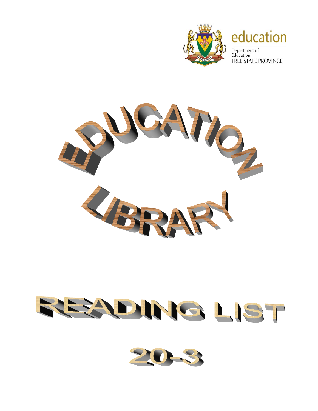

## education

Department of Education **FREE STATE PROVINCE** 



## REZONIG LIST

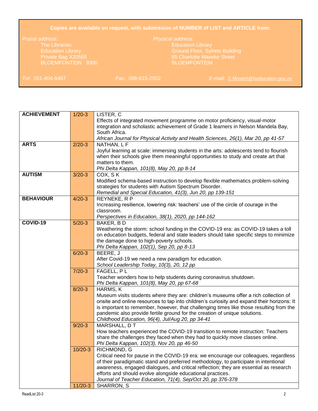## **Copies are available on request, with submission of NUMBER of LIST and ARTICLE from:**

Education Library Ground Floor, Syfrets Building

*Tel*: 051-404-8467 *Fax*: 086-615-2502 *E-mail*: [E.Mostert@fseducation.gov.za](mailto:E.Mostert@fseducation.gov.za)

| <b>ACHIEVEMENT</b> | $1/20-3$  | LISTER, C                                                                                  |
|--------------------|-----------|--------------------------------------------------------------------------------------------|
|                    |           | Effects of integrated movement programme on motor proficiency, visual-motor                |
|                    |           | integration and scholastic achievement of Grade 1 learners in Nelson Mandela Bay,          |
|                    |           | South Africa.                                                                              |
|                    |           | African Journal for Physical Activity and Health Sciences, 26(1), Mar 20, pp 41-57         |
| <b>ARTS</b>        | $2/20-3$  | NATHAN, L F                                                                                |
|                    |           | Joyful learning at scale: immersing students in the arts: adolescents tend to flourish     |
|                    |           | when their schools give them meaningful opportunities to study and create art that         |
|                    |           | matters to them.                                                                           |
|                    |           | Phi Delta Kappan, 101(8), May 20, pp 8-14                                                  |
| <b>AUTISM</b>      | $3/20-3$  | COX, SK                                                                                    |
|                    |           | Modified schema-based instruction to develop flexible mathematics problem-solving          |
|                    |           | strategies for students with Autism Spectrum Disorder.                                     |
|                    |           | Remedial and Special Education, 41(3), Jun 20, pp 139-151                                  |
| <b>BEHAVIOUR</b>   | $4/20-3$  | REYNEKE, R P                                                                               |
|                    |           | Increasing resilience, lowering risk: teachers' use of the circle of courage in the        |
|                    |           | classroom.                                                                                 |
|                    |           | Perspectives in Education, 38(1), 2020, pp 144-162                                         |
| COVID-19           | $5/20-3$  | BAKER, BD                                                                                  |
|                    |           | Weathering the storm: school funding in the COVID-19 era: as COVID-19 takes a toll         |
|                    |           | on education budgets, federal and state leaders should take specific steps to minimize     |
|                    |           | the damage done to high-poverty schools.                                                   |
|                    |           | Phi Delta Kappan, 102(1), Sep 20, pp 8-13                                                  |
|                    | $6/20-3$  | BEERE, J                                                                                   |
|                    |           | After Covid-19 we need a new paradigm for education.                                       |
|                    |           | School Leadership Today, 10(3), 20, 12 pp                                                  |
|                    | $7/20-3$  | FAGELL, PL                                                                                 |
|                    |           | Teacher wonders how to help students during coronavirus shutdown.                          |
|                    |           | Phi Delta Kappan, 101(8), May 20, pp 67-68                                                 |
|                    | $8/20-3$  | HARMS, K                                                                                   |
|                    |           | Museum visits students where they are: children's museums offer a rich collection of       |
|                    |           | onsite and online resources to tap into children's curiosity and expand their horizons: It |
|                    |           | is important to remember, however, that challenging times like those resulting from the    |
|                    |           | pandemic also provide fertile ground for the creation of unique solutions.                 |
|                    |           | Childhood Education, 96(4), Jul/Aug 20, pp 34-41                                           |
|                    | $9/20-3$  | MARSHALL, DT                                                                               |
|                    |           | How teachers experienced the COVID-19 transition to remote instruction: Teachers           |
|                    |           | share the challenges they faced when they had to quickly move classes online.              |
|                    |           | Phi Delta Kappan, 102(3), Nov 20, pp 46-50                                                 |
|                    | $10/20-3$ | RICHMOND, G                                                                                |
|                    |           | Critical need for pause in the COVID-19 era: we encourage our colleagues, regardless       |
|                    |           | of their paradigmatic stand and preferred methodology, to participate in intentional       |
|                    |           | awareness, engaged dialogues, and critical reflection; they are essential as research      |
|                    |           | efforts and should evolve alongside educational practices.                                 |
|                    |           | Journal of Teacher Education, 71(4), Sep/Oct 20, pp 376-378                                |
|                    | $11/20-3$ | <b>SHARRON, S</b>                                                                          |
| ReadList 20-3      |           | 2                                                                                          |
|                    |           |                                                                                            |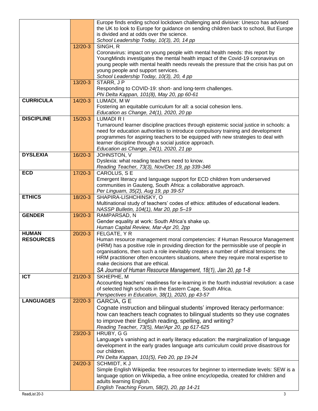|                   |           | Europe finds ending school lockdown challenging and divisive: Unesco has advised                                                                                    |
|-------------------|-----------|---------------------------------------------------------------------------------------------------------------------------------------------------------------------|
|                   |           | the UK to look to Europe for guidance on sending children back to school, But Europe                                                                                |
|                   |           | is divided and at odds over the science.                                                                                                                            |
|                   |           | School Leadership Today, 10(3), 20, 14 pp                                                                                                                           |
|                   | $12/20-3$ | SINGH, R<br>Coronavirus: impact on young people with mental health needs: this report by                                                                            |
|                   |           | YoungMinds investigates the mental health impact of the Covid-19 coronavirus on                                                                                     |
|                   |           | young people with mental health needs reveals the pressure that the crisis has put on                                                                               |
|                   |           | young people and support services.                                                                                                                                  |
|                   |           | School Leadership Today, 10(3), 20, 4 pp                                                                                                                            |
|                   | $13/20-3$ | STARR, JP                                                                                                                                                           |
|                   |           | Responding to COVID-19: short- and long-term challenges.                                                                                                            |
|                   |           | Phi Delta Kappan, 101(8), May 20, pp 60-61                                                                                                                          |
| <b>CURRICULA</b>  | $14/20-3$ | LUMADI, MW                                                                                                                                                          |
|                   |           | Fostering an equitable curriculum for all: a social cohesion lens.                                                                                                  |
| <b>DISCIPLINE</b> | $15/20-3$ | Education as Change, 24(1), 2020, 20 pp<br><b>LUMADI R I</b>                                                                                                        |
|                   |           | Turnaround learner discipline practices through epistemic social justice in schools: a                                                                              |
|                   |           | need for education authorities to introduce compulsory training and development                                                                                     |
|                   |           | programmes for aspiring teachers to be equipped with new strategies to deal with                                                                                    |
|                   |           | learner discipline through a social justice approach.                                                                                                               |
|                   |           | Education as Change, 24(1), 2020, 21 pp                                                                                                                             |
| <b>DYSLEXIA</b>   | $16/20-3$ | JOHNSTON, V                                                                                                                                                         |
|                   |           | Dyslexia: what reading teachers need to know.                                                                                                                       |
|                   |           | Reading Teacher, 73(3), Nov/Dec 19, pp 339-346                                                                                                                      |
| <b>ECD</b>        | $17/20-3$ | CAROLUS, SE                                                                                                                                                         |
|                   |           | Emergent literacy and language support for ECD children from underserved<br>communities in Gauteng, South Africa: a collaborative approach.                         |
|                   |           | Per Linguam, 35(2), Aug 19, pp 39-57                                                                                                                                |
| <b>ETHICS</b>     | 18/20-3   | SHAPIRA-LISHCHINSKY, O                                                                                                                                              |
|                   |           | Multinational study of teachers' codes of ethics: attitudes of educational leaders.                                                                                 |
|                   |           | NASSP Bulletin, 104(1), Mar 20, pp 5-19                                                                                                                             |
| <b>GENDER</b>     | 19/20-3   | RAMPARSAD, N                                                                                                                                                        |
|                   |           | Gender equality at work: South Africa's shake up.                                                                                                                   |
|                   |           | Human Capital Review, Mar-Apr 20, 2pp                                                                                                                               |
| <b>HUMAN</b>      | $20/20-3$ | FELGATE, Y R                                                                                                                                                        |
| <b>RESOURCES</b>  |           | Human resource management moral competencies: if Human Resource Management<br>(HRM) has a positive role in providing direction for the permissible use of people in |
|                   |           | organisations, then such a role inevitably creates a number of ethical tensions: the                                                                                |
|                   |           | HRM practitioner often encounters situations, where they require moral expertise to                                                                                 |
|                   |           | make decisions that are ethical.                                                                                                                                    |
|                   |           | SA Journal of Human Resource Management, 18(1), Jan 20, pp 1-8                                                                                                      |
| <b>ICT</b>        | $21/20-3$ | SKHEPHE, M                                                                                                                                                          |
|                   |           | Accounting teachers' readiness for e-learning in the fourth industrial revolution: a case                                                                           |
|                   |           | of selected high schools in the Eastern Cape, South Africa.                                                                                                         |
|                   |           | Perspectives in Education, 38(1), 2020, pp 43-57                                                                                                                    |
| <b>LANGUAGES</b>  | $22/20-3$ | <b>GARCIA, G E</b>                                                                                                                                                  |
|                   |           | Cognate instruction and bilingual students' improved literacy performance:                                                                                          |
|                   |           | how can teachers teach cognates to bilingual students so they use cognates                                                                                          |
|                   |           | to improve their English reading, spelling, and writing?                                                                                                            |
|                   |           | Reading Teacher, 73(5), Mar/Apr 20, pp 617-625                                                                                                                      |
|                   | 23/20-3   | HRUBY, G G<br>Language's vanishing act in early literacy education: the marginalization of language                                                                 |
|                   |           | development in the early grades language arts curriculum could prove disastrous for                                                                                 |
|                   |           | our children.                                                                                                                                                       |
|                   |           | Phi Delta Kappan, 101(5), Feb 20, pp 19-24                                                                                                                          |
|                   | $24/20-3$ | SCHMIDT, KJ                                                                                                                                                         |
|                   |           | Simple English Wikipedia: free resources for beginner to intermediate levels: SEW is a                                                                              |
|                   |           | language option on Wikipedia, a free online encyclopedia, created for children and                                                                                  |
|                   |           | adults learning English.                                                                                                                                            |
|                   |           | English Teaching Forum, 58(2), 20, pp 14-21                                                                                                                         |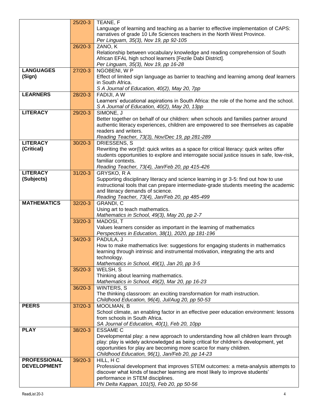|                     | $25/20-3$ | TEANE, F                                                                                   |
|---------------------|-----------|--------------------------------------------------------------------------------------------|
|                     |           | Language of learning and teaching as a barrier to effective implementation of CAPS:        |
|                     |           | narratives of grade 10 Life Sciences teachers in the North West Province.                  |
|                     |           | Per Linguam, 35(3), Nov 19, pp 92-105                                                      |
|                     | $26/20-3$ | ZANO, K                                                                                    |
|                     |           | Relationship between vocabulary knowledge and reading comprehension of South               |
|                     |           | African EFAL high school learners [Fezile Dabi District].                                  |
|                     |           | Per Linguam, 35(3), Nov 19, pp 16-28                                                       |
| <b>LANGUAGES</b>    | $27/20-3$ | NGOBENI, W P                                                                               |
| (Sign)              |           | Effect of limited sign language as barrier to teaching and learning among deaf learners    |
|                     |           | in South Africa.                                                                           |
|                     |           | S A Journal of Education, 40(2), May 20, 7pp                                               |
| <b>LEARNERS</b>     | $28/20-3$ | FADIJI, AW                                                                                 |
|                     |           | Learners' educational aspirations in South Africa: the role of the home and the school.    |
|                     |           | S A Journal of Education, 40(2), May 20, 13pp                                              |
| <b>LITERACY</b>     | 29/20-3   | SIMONE, J                                                                                  |
|                     |           | Better together on behalf of our children: when schools and families partner around        |
|                     |           | authentic literacy experiences, children are empowered to see themselves as capable        |
|                     |           | readers and writers.                                                                       |
|                     |           | Reading Teacher, 73(3), Nov/Dec 19, pp 281-289                                             |
| <b>LITERACY</b>     | $30/20-3$ | DRIESSENS, S                                                                               |
| (Critical)          |           | Rewriting the wor(I)d: quick writes as a space for critical literacy: quick writes offer   |
|                     |           | students opportunities to explore and interrogate social justice issues in safe, low-risk, |
|                     |           | familiar contexts.                                                                         |
|                     |           | Reading Teacher, 73(4), Jan/Feb 20, pp 415-426                                             |
| <b>LITERACY</b>     | $31/20-3$ | GRYSKO, R A                                                                                |
| (Subjects)          |           | Supporting disciplinary literacy and science learning in gr 3-5: find out how to use       |
|                     |           | instructional tools that can prepare intermediate-grade students meeting the academic      |
|                     |           | and literacy demands of science.                                                           |
|                     |           | Reading Teacher, 73(4), Jan/Feb 20, pp 485-499                                             |
| <b>MATHEMATICS</b>  | $32/20-3$ | GRANDI, C                                                                                  |
|                     |           | Using art to teach mathematics.<br>Mathematics in School, 49(3), May 20, pp 2-7            |
|                     | $33/20-3$ | MADOSI, T                                                                                  |
|                     |           | Values learners consider as important in the learning of mathematics                       |
|                     |           | Perspectives in Education, 38(1), 2020, pp 181-196                                         |
|                     |           | PADULA, J                                                                                  |
|                     |           |                                                                                            |
|                     | $34/20-3$ |                                                                                            |
|                     |           | How to make mathematics live: suggestions for engaging students in mathematics             |
|                     |           | learning through intrinsic and instrumental motivation, integrating the arts and           |
|                     |           | technology.                                                                                |
|                     | $35/20-3$ | Mathematics in School, 49(1), Jan 20, pp 3-5<br>WELSH, S                                   |
|                     |           | Thinking about learning mathematics.                                                       |
|                     |           | Mathematics in School, 49(2), Mar 20, pp 16-23                                             |
|                     | $36/20-3$ | <b>WINTERS, S</b>                                                                          |
|                     |           | The thinking classroom: an exciting transformation for math instruction.                   |
|                     |           | Childhood Education, 96(4), Jul/Aug 20, pp 50-53                                           |
| <b>PEERS</b>        | $37/20-3$ | MOOLMAN, B                                                                                 |
|                     |           | School climate, an enabling factor in an effective peer education environment: lessons     |
|                     |           | from schools in South Africa.                                                              |
|                     |           | SA Journal of Education, 40(1), Feb 20, 10pp                                               |
| <b>PLAY</b>         | 38/20-3   | <b>ESSAME C</b>                                                                            |
|                     |           | Developmental play: a new approach to understanding how all children learn through         |
|                     |           | play: play is widely acknowledged as being critical for children's development, yet        |
|                     |           | opportunities for play are becoming more scarce for many children.                         |
|                     |           | Childhood Education, 96(1), Jan/Feb 20, pp 14-23                                           |
| <b>PROFESSIONAL</b> | $39/20-3$ | $HILL$ , HC                                                                                |
| <b>DEVELOPMENT</b>  |           | Professional development that improves STEM outcomes: a meta-analysis attempts to          |
|                     |           | discover what kinds of teacher learning are most likely to improve students'               |
|                     |           | performance in STEM disciplines.<br>Phi Delta Kappan, 101(5), Feb 20, pp 50-56             |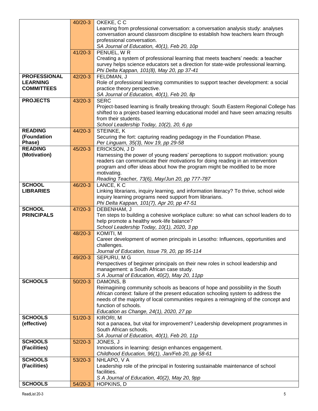|                     | $40/20-3$ | OKEKE, CC                                                                              |
|---------------------|-----------|----------------------------------------------------------------------------------------|
|                     |           | Learning from professional conversation: a conversation analysis study: analyses       |
|                     |           | conversation around classroom discipline to establish how teachers learn through       |
|                     |           | professional conversation.                                                             |
|                     |           | SA Journal of Education, 40(1), Feb 20, 10p                                            |
|                     | $41/20-3$ | PENUEL, WR                                                                             |
|                     |           | Creating a system of professional learning that meets teachers' needs: a teacher       |
|                     |           | survey helps science educators set a direction for state-wide professional learning.   |
|                     |           | Phi Delta Kappan, 101(8), May 20, pp 37-41                                             |
| <b>PROFESSIONAL</b> | $42/20-3$ | FELDMAN, J                                                                             |
| <b>LEARNING</b>     |           | Role of professional learning communities to support teacher development: a social     |
| <b>COMMITTEES</b>   |           | practice theory perspective.                                                           |
|                     |           | SA Journal of Education, 40(1), Feb 20, 8p                                             |
| <b>PROJECTS</b>     | 43/20-3   | <b>SERC</b>                                                                            |
|                     |           | Project-based learning is finally breaking through: South Eastern Regional College has |
|                     |           | shifted to a project-based learning educational model and have seen amazing results    |
|                     |           | from their students.                                                                   |
|                     |           | School Leadership Today, 10(2), 20, 6 pp                                               |
| <b>READING</b>      | 44/20-3   | STEINKE, K                                                                             |
| (Foundation         |           | Securing the fort: capturing reading pedagogy in the Foundation Phase.                 |
| Phase)              |           | Per Linguam, 35(3), Nov 19, pp 29-58                                                   |
| <b>READING</b>      | $45/20-3$ | ERICKSON, JD                                                                           |
| (Motivation)        |           | Harnessing the power of young readers' perceptions to support motivation: young        |
|                     |           | readers can communicate their motivations for doing reading in an intervention         |
|                     |           | program and offer ideas about how the program might be modified to be more             |
|                     |           | motivating.                                                                            |
|                     |           | Reading Teacher, 73(6), May/Jun 20, pp 777-787                                         |
| <b>SCHOOL</b>       | 46/20-3   | LANCE, KC                                                                              |
| <b>LIBRARIES</b>    |           | Linking librarians, inquiry learning, and information literacy? To thrive, school wide |
|                     |           | inquiry learning programs need support from librarians.                                |
|                     |           | Phi Delta Kappan, 101(7), Apr 20, pp 47-51                                             |
| <b>SCHOOL</b>       | 47/20-3   | DEBENHAM, J                                                                            |
| <b>PRINCIPALS</b>   |           | Ten steps to building a cohesive workplace culture: so what can school leaders do to   |
|                     |           | help promote a healthy work-life balance?                                              |
|                     |           | School Leadership Today, 10(1), 2020, 3 pp                                             |
|                     | 48/20-3   | <b>KOMITI, M</b>                                                                       |
|                     |           | Career development of women principals in Lesotho: Influences, opportunities and       |
|                     |           | challenges.                                                                            |
|                     |           | Journal of Education, Issue 79, 20, pp 95-114                                          |
|                     | 49/20-3   | SEPURU, M G                                                                            |
|                     |           | Perspectives of beginner principals on their new roles in school leadership and        |
|                     |           | management: a South African case study.                                                |
|                     |           | S A Journal of Education, 40(2), May 20, 11pp                                          |
| <b>SCHOOLS</b>      | $50/20-3$ | DAMONS, B                                                                              |
|                     |           | Reimagining community schools as beacons of hope and possibility in the South          |
|                     |           | African context: failure of the present education schooling system to address the      |
|                     |           | needs of the majority of local communities requires a reimagining of the concept and   |
|                     |           | function of schools.                                                                   |
|                     |           | Education as Change, 24(1), 2020, 27 pp                                                |
| <b>SCHOOLS</b>      | $51/20-3$ | KIRORI, M                                                                              |
| (effective)         |           | Not a panacea, but vital for improvement? Leadership development programmes in         |
|                     |           | South African schools.                                                                 |
|                     |           | SA Journal of Education, 40(1), Feb 20, 11p                                            |
| <b>SCHOOLS</b>      | $52/20-3$ | JONES, J                                                                               |
| (Facilities)        |           | Innovations in learning: design enhances engagement.                                   |
|                     |           | Childhood Education, 96(1), Jan/Feb 20, pp 58-61                                       |
| <b>SCHOOLS</b>      | $53/20-3$ | NHLAPO, V A                                                                            |
| (Facilities)        |           | Leadership role of the principal in fostering sustainable maintenance of school        |
|                     |           | facilities.                                                                            |
|                     |           | S A Journal of Education, 40(2), May 20, 9pp                                           |
| <b>SCHOOLS</b>      | $54/20-3$ | HOPKINS, D                                                                             |